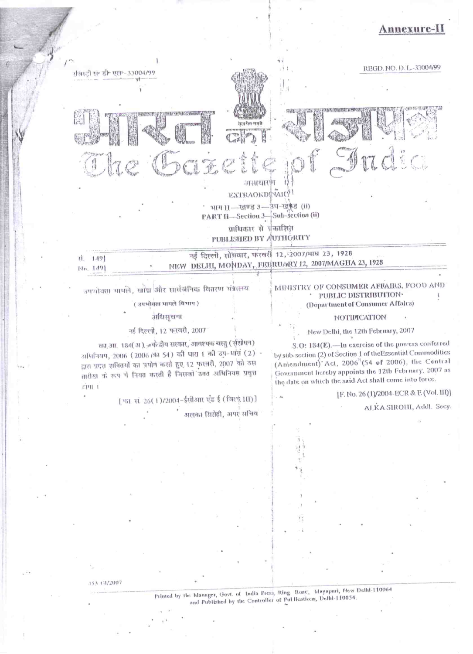# nnexure-1



उपभोक्ता भागले, खाँछ और सार्वजैनिक वितरण भंत्रालय

( उपभोजसा भागले विभाग)

#### उक्तिसचना

# नई दिल्ली, 12 फरवरी, 2007

का आ. 184( अ ), ज़बोन्द्रीय सरकार, आवश्यक चस्तु (सुंशोधन) अभिनियम, 2006 (2006)की 54) की घारा 1 की उप-धारा (2) -द्वारा प्रदत्त शक्तियों का प्रयोग करते हुए 12 फरवरी, 2007 को उस तारीख के रूप में नियत करती है जिसको उचत अधिनियम प्रवृत्त EPH 1

> [ फा. सं. 26(1)/2004-ईसीआर एंड ई (जिल्दू III) ] अलका सिरोही, अपर सचिव

#### MINISTRY OF CONSUMER AFFAIRS, FOOD AND PUBLIC DISTRIBUTION· (Department of Consumer Affairs)

#### NOTHNCATION

# New Delhi, the 12th February, 2007

S.O: 184(E).- lu exercise of the powers conferred by sub-section (2) of Section 1 of the Essential Commodities (Amendment) Act, 2006 (54 of 2006), the Central Government hereby appoints the 12th February, 2007 as the date on which the said Act shall come into force.

[F. No. 26 (1)/2004-ECR & E (Vol. III)]

ALKA SIROHI, Addl. Secy.

Printed by the Manager, Govt. of India Press, Ring Road, Mayapuri, New Delhi-110064 and Published by the Controller of Publications, Delhi-110054.

153 GI/2007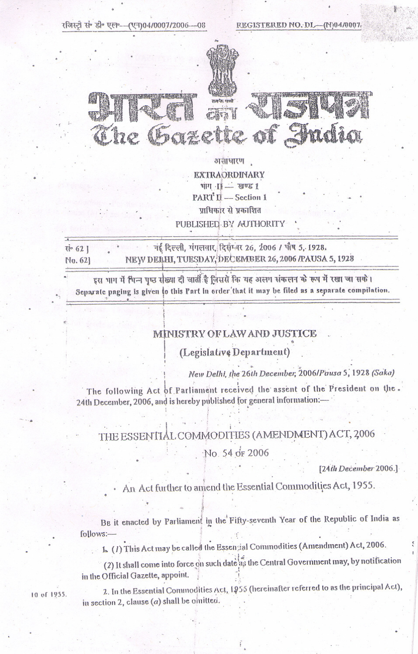रजिस्टी सं• डी॰ एल॰--(एन)04/0007/2006---08

14342

**A RAIGE** 

REGISTERED NO. DL-(N04/0007



असाधारण **EXTRAORDINARY**  $1500 - 11$  mp PART II -- Section 1 प्राधिकार से प्रकाशित

PUBLISHED BY AUTHORITY

नई दिल्ली, मंगलवार, दिसंग्लर 26, 2006 / पौष 5, 1928. सं॰ 62 | NEW DELHI, TUESDAY, DECEMBER 26, 2006 /PAUSA 5, 1928 No. 621

20

इस भाग में भिन्न पुष्ठ संख्या दी जाती है जिससे कि यह अलग संकलन के रूप में रखा जा सके। Separate paging is given to this Part in order that it may be filed as a separate compilation.

#### MINISTRY OF LAW AND JUSTICE

### (Legislative Department)

New Delhi, the 26th December, 2006/Pausa 5, 1928 (Saka)

The following Act of Parliament received the assent of the President on the. 24th December, 2006, and is hereby published for general information:

# THE ESSENTIAL COMMODITIES (AMENDMENT) ACT, 2006

No. 54 or 2006

[24th December 2006.]

An Act further to amend the Essential Commodities Act, 1955.

BE it enacted by Parliament in the Fifty-seventh Year of the Republic of India as follows:-

1. (1) This Act may be called the Essenzial Commodities (Amendment) Act, 2006.

(2) It shall come into force on such date as the Central Government may, by notification in the Official Gazette, appoint.

10 of 1955.

2. In the Essential Commodities Act, 1955 (hereinafter referred to as the principal Act), in section 2, clause  $(a)$  shall be omitted.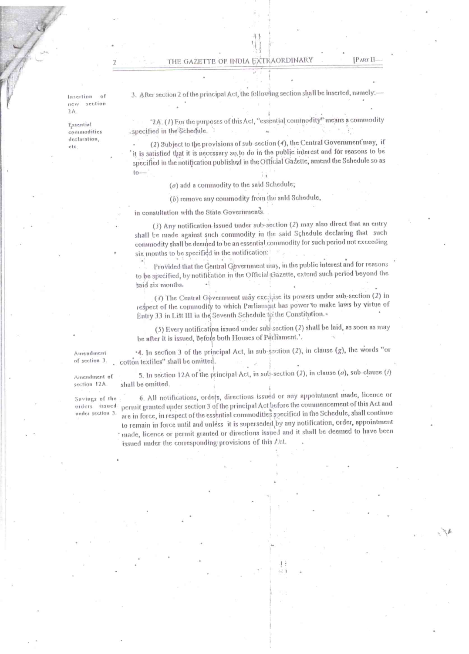**IPART II** 

Insertion  $\sigma$ f  $new$ section  $2A$ 

Essential commodities declaration, etc.

3. After section 2 of the principal Act, the following section shall be inserted, namely:

'2A. (1) For the purposes of this Act, "essential commodity" means a commodity specified in the Schedule.

(2) Subject to the provisions of sub-section (4), the Central Government may, if it is satisfied that it is necessary so to do in the public interest and for reasons to be specified in the notification published in the Official Gazette, amend the Schedule so as  $to-$ 

 $(a)$  add a commodity to the said Schedule;

(b) remove any commodity from the sald Schedule,

in consultation with the State Governments.

(3) Any notification issued under sub-section (2) may also direct that an entry shall be made against such commodity in the said Schedule declaring that such commodity shall be deented to be an essential commodity for such period not exceeding six months to be specified in the notification:

Provided that the Gentral Government may, in the public interest and for reasons to be specified, by notification in the Official Bazette, extend such period beyond the said six months.

(4) The Central Government may exercise its powers under sub-section (2) in respect of the commodity to which Parliamant has power to make laws by virtue of Entry 33 in List III in the Seventh Schedule to the Constitution.

(5) Every notification issued under sub-section (2) shall be laid, as soon as may be after it is issued, before both Houses of Parliament.'.

'4. In section 3 of the principal Act, in sub-section (2), in clause (g), the words "or Amendment of section 3. cotton textiles" shall be omitted.

5. In section 12A of the principal Act, in sub-section (2), in clause  $(a)$ , sub-clause  $(i)$ Amendment of shall be omitted. section 12A.

Savings of the orders issuedunder section 3.

6. All notifications, orders, directions issued or any appointment made, licence or permit granted under section 3 of the principal Act before the commencement of this Act and are in force, in respect of the essential commodities specified in the Schedule, shall continue to remain in force until and unless it is superseded by any notification, order, appointment made, licence or permit granted or directions issued and it shall be deemed to have been

issued under the corresponding provisions of this Act.